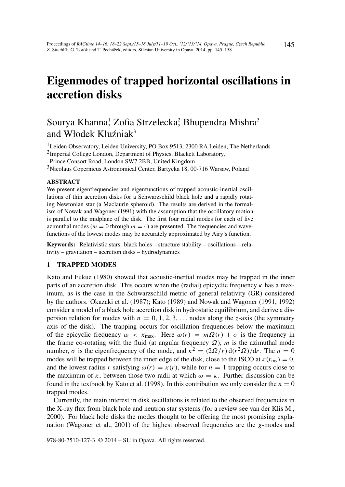# Eigenmodes of trapped horizontal oscillations in accretion disks

# Sourya Khanna,<sup>1</sup> Zofia Strzelecka<sup>2</sup>, Bhupendra Mishra<sup>3</sup> and Włodek Kluźniak<sup>3</sup>

<sup>1</sup> Leiden Observatory, Leiden University, PO Box 9513, 2300 RA Leiden, The Netherlands

<sup>2</sup>Imperial College London, Department of Physics, Blackett Laboratory,

Prince Consort Road, London SW7 2BB, United Kingdom

<sup>3</sup>Nicolaus Copernicus Astronomical Center, Bartycka 18, 00-716 Warsaw, Poland

#### ABSTRACT

We present eigenfrequencies and eigenfunctions of trapped acoustic-inertial oscillations of thin accretion disks for a Schwarzschild black hole and a rapidly rotating Newtonian star (a Maclaurin spheroid). The results are derived in the formalism of Nowak and Wagoner (1991) with the assumption that the oscillatory motion is parallel to the midplane of the disk. The first four radial modes for each of five azimuthal modes ( $m = 0$  through  $m = 4$ ) are presented. The frequencies and wavefunctions of the lowest modes may be accurately approximated by Airy's function.

Keywords: Relativistic stars: black holes – structure stability – oscillations – relativity – gravitation – accretion disks – hydrodynamics

#### 1 TRAPPED MODES

Kato and Fukue (1980) showed that acoustic-inertial modes may be trapped in the inner parts of an accretion disk. This occurs when the (radial) epicyclic frequency  $\kappa$  has a maximum, as is the case in the Schwarzschild metric of general relativity (GR) considered by the authors. Okazaki et al. (1987); Kato (1989) and Nowak and Wagoner (1991, 1992) consider a model of a black hole accretion disk in hydrostatic equilibrium, and derive a dispersion relation for modes with  $n = 0, 1, 2, 3, \ldots$  nodes along the *z*-axis (the symmetry axis of the disk). The trapping occurs for oscillation frequencies below the maximum of the epicyclic frequency  $\omega < \kappa_{\text{max}}$ . Here  $\omega(r) = m\Omega(r) + \sigma$  is the frequency in the frame co-rotating with the fluid (at angular frequency  $\Omega$ ), *m* is the azimuthal mode number,  $\sigma$  is the eigenfrequency of the mode, and  $\kappa^2 = (2\Omega/r) d(r^2\Omega)/dr$ . The  $n = 0$ modes will be trapped between the inner edge of the disk, close to the ISCO at  $\kappa(r_{\rm ms}) = 0$ , and the lowest radius *r* satisfying  $\omega(r) = \kappa(r)$ , while for  $n = 1$  trapping occurs close to the maximum of  $\kappa$ , between those two radii at which  $\omega = \kappa$ . Further discussion can be found in the textbook by Kato et al. (1998). In this contribution we only consider the  $n = 0$ trapped modes.

Currently, the main interest in disk oscillations is related to the observed frequencies in the X-ray flux from black hole and neutron star systems (for a review see van der Klis M., 2000). For black hole disks the modes thought to be offering the most promising explanation (Wagoner et al., 2001) of the highest observed frequencies are the *g*-modes and

978-80-7510-127-3 © 2014 – SU in Opava. All rights reserved.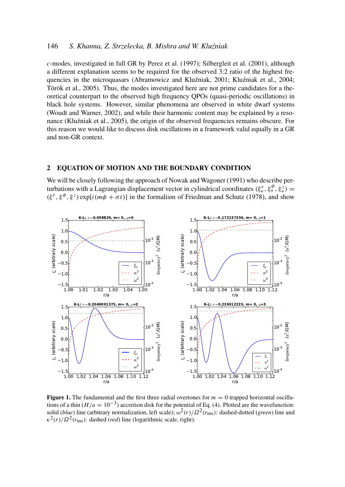# 146 *S. Khanna, Z. Strzelecka, B. Mishra and W. Klu´zniak*

*c*-modes, investigated in full GR by Perez et al. (1997); Silbergleit et al. (2001), although a different explanation seems to be required for the observed 3:2 ratio of the highest frequencies in the microquasars (Abramowicz and Kluźniak, 2001; Kluźniak et al., 2004; Török et al., 2005). Thus, the modes investigated here are not prime candidates for a theoretical counterpart to the observed high frequency QPOs (quasi-periodic oscillations) in black hole systems. However, similar phenomena are observed in white dwarf systems (Woudt and Warner, 2002), and while their harmonic content may be explained by a resonance (Kluźniak et al., 2005), the origin of the observed frequencies remains obscure. For this reason we would like to discuss disk oscillations in a framework valid equally in a GR and non-GR context.

#### 2 EQUATION OF MOTION AND THE BOUNDARY CONDITION

We will be closely following the approach of Nowak and Wagoner (1991) who describe perturbations with a Lagrangian displacement vector in cylindrical coordinates  $(\xi^r_*, \xi^{\phi}_*, \xi^z_*)$  $(\xi^r, \xi^{\phi}, \xi^z)$  exp[*i*( $m\phi + \sigma t$ )] in the formalism of Friedman and Schutz (1978), and show



**Figure 1.** The fundamental and the first three radial overtones for  $m = 0$  trapped horizontal oscillations of a thin ( $H/a = 10^{-3}$ ) accretion disk for the potential of Eq. (4). Plotted are the wavefunction: solid (*blue*) line (arbitrary normalization, left scale); ω 2 (*r*)/Ω<sup>2</sup> (*r*ms): dashed-dotted (*green*) line and  $\kappa^2(r)/\Omega^2(r_{\text{ms}})$ : dashed (*red*) line (logarithmic scale, right).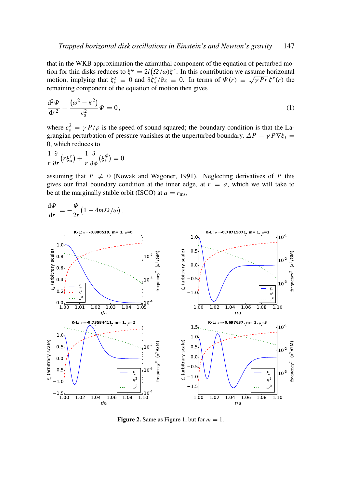that in the WKB approximation the azimuthal component of the equation of perturbed motion for thin disks reduces to  $\xi^{\phi} = 2i(\Omega/\omega)\xi^{r}$ . In this contribution we assume horizontal motion, implying that  $\xi_*^z \equiv 0$  and  $\partial \xi_*^r / \partial z \equiv 0$ . In terms of  $\Psi(r) \equiv \sqrt{\gamma Pr} \xi^r(r)$  the remaining component of the equation of motion then gives

$$
\frac{\mathrm{d}^2 \Psi}{\mathrm{d}r^2} + \frac{(\omega^2 - \kappa^2)}{c_s^2} \Psi = 0, \qquad (1)
$$

where  $c_s^2 = \gamma P/\rho$  is the speed of sound squared; the boundary condition is that the Lagrangian perturbation of pressure vanishes at the unperturbed boundary,  $\Delta P \equiv \gamma P \nabla \xi_* =$ 0, which reduces to

$$
\frac{1}{r}\frac{\partial}{\partial r}\left(r\xi_*^r\right) + \frac{1}{r}\frac{\partial}{\partial \phi}\left(\xi_*^{\phi}\right) = 0
$$

assuming that  $P \neq 0$  (Nowak and Wagoner, 1991). Neglecting derivatives of *P* this gives our final boundary condition at the inner edge, at  $r = a$ , which we will take to be at the marginally stable orbit (ISCO) at  $a = r_{\text{ms}}$ ,

$$
\frac{\mathrm{d}\Psi}{\mathrm{d}r} = -\frac{\Psi}{2r} \big( 1 - 4m\Omega/\omega \big).
$$



Figure 2. Same as Figure 1, but for  $m = 1$ .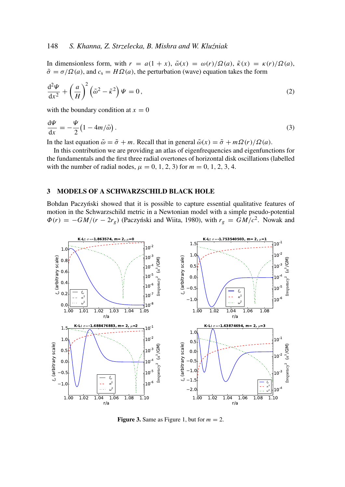# 148 *S. Khanna, Z. Strzelecka, B. Mishra and W. Klu´zniak*

In dimensionless form, with  $r = a(1 + x)$ ,  $\tilde{\omega}(x) = \omega(r)/\Omega(a)$ ,  $\tilde{\kappa}(x) = \kappa(r)/\Omega(a)$ ,  $\tilde{\sigma} = \sigma/\Omega(a)$ , and  $c_s = H\Omega(a)$ , the perturbation (wave) equation takes the form

$$
\frac{\mathrm{d}^2 \Psi}{\mathrm{d} x^2} + \left(\frac{a}{H}\right)^2 \left(\tilde{\omega}^2 - \tilde{\kappa}^2\right) \Psi = 0, \tag{2}
$$

with the boundary condition at  $x = 0$ 

$$
\frac{\mathrm{d}\Psi}{\mathrm{d}x} = -\frac{\Psi}{2} \left( 1 - 4m/\tilde{\omega} \right). \tag{3}
$$

In the last equation  $\tilde{\omega} = \tilde{\sigma} + m$ . Recall that in general  $\tilde{\omega}(x) = \tilde{\sigma} + m\Omega(r)/\Omega(a)$ .

In this contribution we are providing an atlas of eigenfrequencies and eigenfunctions for the fundamentals and the first three radial overtones of horizontal disk oscillations (labelled with the number of radial nodes,  $\mu = 0, 1, 2, 3$  for  $m = 0, 1, 2, 3, 4$ .

#### 3 MODELS OF A SCHWARZSCHILD BLACK HOLE

Bohdan Paczyński showed that it is possible to capture essential qualitative features of motion in the Schwarzschild metric in a Newtonian model with a simple pseudo-potential  $\Phi(r) = -GM/(r - 2r_g)$  (Paczyński and Wiita, 1980), with  $r_g = GM/c^2$ . Nowak and



**Figure 3.** Same as Figure 1, but for  $m = 2$ .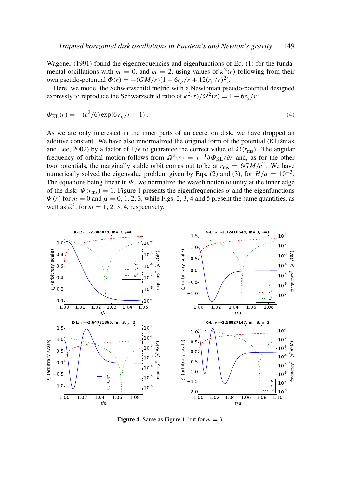Wagoner (1991) found the eigenfrequencies and eigenfunctions of Eq. (1) for the fundamental oscillations with  $m = 0$ , and  $m = 2$ , using values of  $\kappa^2(r)$  following from their own pseudo-potential  $\Phi(r) = -(GM/r)[1 - 6r_g/r + 12(r_g/r)^2]$ .

Here, we model the Schwarzschild metric with a Newtonian pseudo-potential designed expressly to reproduce the Schwarzschild ratio of  $\kappa^2(r)/\Omega^2(r) = 1 - 6r_g/r$ :

$$
\Phi_{\text{KL}}(r) = -(c^2/6) \exp(6 r_g/r - 1). \tag{4}
$$

As we are only interested in the inner parts of an accretion disk, we have dropped an additive constant. We have also renormalized the original form of the potential (Kluźniak and Lee, 2002) by a factor of  $1/e$  to guarantee the correct value of  $\Omega(r_{\rm ms})$ . The angular frequency of orbital motion follows from  $\Omega^2(r) = r^{-1} \partial \Phi_{KL}/\partial r$  and, as for the other two potentials, the marginally stable orbit comes out to be at  $r_{\rm ms} = 6GM/c^2$ . We have numerically solved the eigenvalue problem given by Eqs. (2) and (3), for  $H/a = 10^{-3}$ . The equations being linear in  $\Psi$ , we normalize the wavefunction to unity at the inner edge of the disk:  $\Psi(r_{\text{ms}}) = 1$ . Figure 1 presents the eigenfrequencies  $\sigma$  and the eigenfunctions  $\Psi(r)$  for  $m = 0$  and  $\mu = 0, 1, 2, 3$ , while Figs. 2, 3, 4 and 5 present the same quantities, as well as  $\tilde{\omega}^2$ , for  $m = 1, 2, 3, 4$ , respectively.



**Figure 4.** Same as Figure 1, but for  $m = 3$ .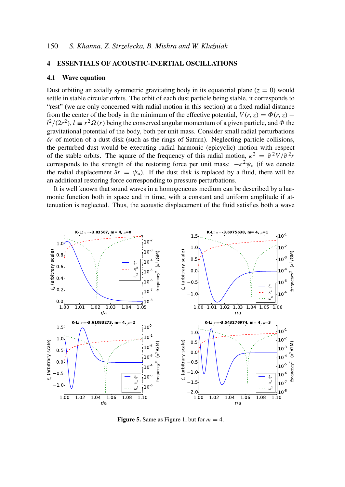#### 4 ESSENTIALS OF ACOUSTIC-INERTIAL OSCILLATIONS

#### 4.1 Wave equation

Dust orbiting an axially symmetric gravitating body in its equatorial plane  $(z = 0)$  would settle in stable circular orbits. The orbit of each dust particle being stable, it corresponds to "rest" (we are only concerned with radial motion in this section) at a fixed radial distance from the center of the body in the minimum of the effective potential,  $V(r, z) = \Phi(r, z) +$  $l^2/(2r^2)$ ,  $l \equiv r^2 \Omega(r)$  being the conserved angular momentum of a given particle, and  $\Phi$  the gravitational potential of the body, both per unit mass. Consider small radial perturbations δ*r* of motion of a dust disk (such as the rings of Saturn). Neglecting particle collisions, the perturbed dust would be executing radial harmonic (epicyclic) motion with respect of the stable orbits. The square of the frequency of this radial motion,  $\kappa^2 = \frac{\partial^2 V}{\partial^2 r}$ corresponds to the strength of the restoring force per unit mass:  $-\kappa^2 \psi_*$  (if we denote the radial displacement  $\delta r = \psi_*$ ). If the dust disk is replaced by a fluid, there will be an additional restoring force corresponding to pressure perturbations.

It is well known that sound waves in a homogeneous medium can be described by a harmonic function both in space and in time, with a constant and uniform amplitude if attenuation is neglected. Thus, the acoustic displacement of the fluid satisfies both a wave



Figure 5. Same as Figure 1, but for  $m = 4$ .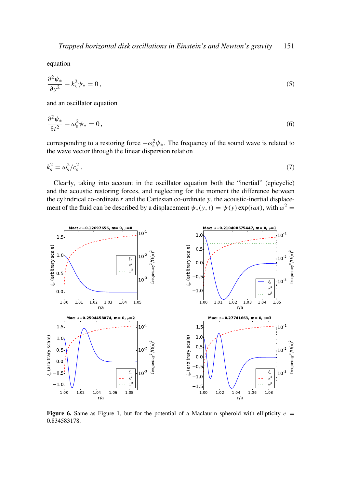equation

$$
\frac{\partial^2 \psi_*}{\partial y^2} + k_s^2 \psi_* = 0, \qquad (5)
$$

and an oscillator equation

$$
\frac{\partial^2 \psi_*}{\partial t^2} + \omega_s^2 \psi_* = 0, \qquad (6)
$$

corresponding to a restoring force  $-\omega_s^2 \psi_*$ . The frequency of the sound wave is related to the wave vector through the linear dispersion relation

$$
k_s^2 = \omega_s^2 / c_s^2 \,. \tag{7}
$$

Clearly, taking into account in the oscillator equation both the "inertial" (epicyclic) and the acoustic restoring forces, and neglecting for the moment the difference between the cylindrical co-ordinate  $r$  and the Cartesian co-ordinate  $y$ , the acoustic-inertial displacement of the fluid can be described by a displacement  $\psi_*(y, t) = \psi(y) \exp(i\omega t)$ , with  $\omega^2 =$ 



**Figure 6.** Same as Figure 1, but for the potential of a Maclaurin spheroid with ellipticity  $e =$ 0.834583178.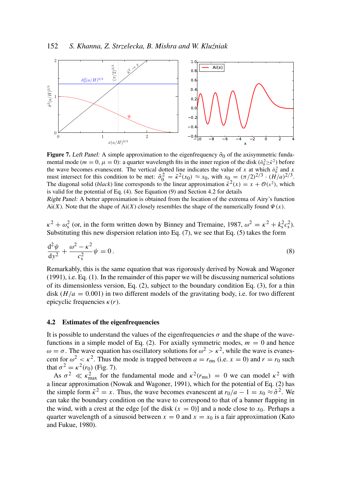

**Figure 7.** Left Panel: A simple approximation to the eigenfrequency  $\tilde{\sigma}_0$  of the axisymmetric fundamental mode ( $m = 0$ ,  $\mu = 0$ ): a quarter wavelength fits in the inner region of the disk ( $\tilde{\sigma}_0^2 \ge \tilde{\kappa}^2$ ) before the wave becomes evanescent. The vertical dotted line indicates the value of *x* at which  $\tilde{\sigma}_0^2$  and *x* must intersect for this condition to be met:  $\tilde{\sigma}_0^2 = \tilde{\kappa}^2(x_0) \approx x_0$ , with  $x_0 = (\pi/2)^{2/3} \cdot (\tilde{H}/a)^{2/3}$ . The diagonal solid (*black*) line corresponds to the linear approximation  $\tilde{\kappa}^2(x) = x + \mathcal{O}(x^2)$ , which is valid for the potential of Eq. (4). See Equation (9) and Section 4.2 for details

Right Panel: A better approximation is obtained from the location of the extrema of Airy's function Ai(*X*). Note that the shape of Ai(*X*) closely resembles the shape of the numerically found  $\Psi(x)$ .

 $\kappa^2 + \omega_s^2$  (or, in the form written down by Binney and Tremaine, 1987,  $\omega^2 = \kappa^2 + k_s^2 c_s^2$ ). Substituting this new dispersion relation into Eq. (7), we see that Eq. (5) takes the form

$$
\frac{\mathrm{d}^2\psi}{\mathrm{d}y^2} + \frac{\omega^2 - \kappa^2}{c_s^2}\psi = 0.
$$
\n(8)

Remarkably, this is the same equation that was rigorously derived by Nowak and Wagoner (1991), i.e. Eq. (1). In the remainder of this paper we will be discussing numerical solutions of its dimensionless version, Eq.  $(2)$ , subject to the boundary condition Eq.  $(3)$ , for a thin disk  $(H/a = 0.001)$  in two different models of the gravitating body, i.e. for two different epicyclic frequencies  $\kappa(r)$ .

# 4.2 Estimates of the eigenfrequencies

It is possible to understand the values of the eigenfrequencies  $\sigma$  and the shape of the wavefunctions in a simple model of Eq.  $(2)$ . For axially symmetric modes,  $m = 0$  and hence  $ω = σ$ . The wave equation has oscillatory solutions for  $ω^2 > κ^2$ , while the wave is evanescent for  $\omega^2 < \kappa^2$ . Thus the mode is trapped between  $a = r_{\text{ms}}$  (i.e.  $x = 0$ ) and  $r = r_0$  such that  $\sigma^2 = \kappa^2(r_0)$  (Fig. 7).

As  $\sigma^2 \ll \kappa_{\text{max}}^2$  for the fundamental mode and  $\kappa^2(r_{\text{rms}}) = 0$  we can model  $\kappa^2$  with a linear approximation (Nowak and Wagoner, 1991), which for the potential of Eq. (2) has the simple form  $\tilde{\kappa}^2 = x$ . Thus, the wave becomes evanescent at  $r_0/a - 1 = x_0 \approx \tilde{\sigma}^2$ . We can take the boundary condition on the wave to correspond to that of a banner flapping in the wind, with a crest at the edge [of the disk  $(x = 0)$ ] and a node close to  $x<sub>0</sub>$ . Perhaps a quarter wavelength of a sinusoid between  $x = 0$  and  $x = x_0$  is a fair approximation (Kato and Fukue, 1980).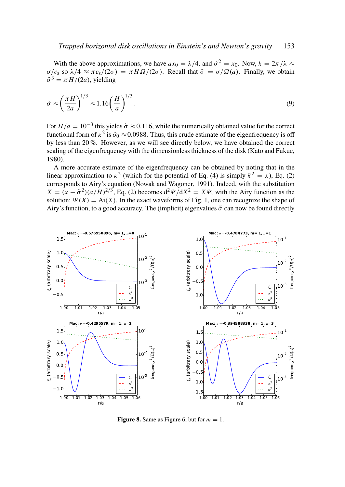With the above approximations, we have  $ax_0 = \lambda/4$ , and  $\tilde{\sigma}^2 = x_0$ . Now,  $k = 2\pi/\lambda \approx$  $\sigma/c_s$  so  $\lambda/4 \approx \pi c_s/(2\sigma) = \pi H \Omega/(2\sigma)$ . Recall that  $\tilde{\sigma} = \sigma/\Omega(a)$ . Finally, we obtain  $\tilde{\sigma}^3 = \pi H/(2a)$ , yielding

$$
\tilde{\sigma} \approx \left(\frac{\pi H}{2a}\right)^{1/3} \approx 1.16 \left(\frac{H}{a}\right)^{1/3}.
$$
\n(9)

For  $H/a = 10^{-3}$  this yields  $\tilde{\sigma} \approx 0.116$ , while the numerically obtained value for the correct functional form of  $\kappa^2$  is  $\tilde{\sigma}_0 \approx 0.0988$ . Thus, this crude estimate of the eigenfrequency is off by less than 20 %. However, as we will see directly below, we have obtained the correct scaling of the eigenfrequency with the dimensionless thickness of the disk (Kato and Fukue, 1980).

A more accurate estimate of the eigenfrequency can be obtained by noting that in the linear approximation to  $\kappa^2$  (which for the potential of Eq. (4) is simply  $\tilde{\kappa}^2 = x$ ), Eq. (2) corresponds to Airy's equation (Nowak and Wagoner, 1991). Indeed, with the substitution  $X = (x - \tilde{\sigma}^2)(a/H)^{2/3}$ , Eq. (2) becomes  $d^2\Psi/dX^2 = X\Psi$ , with the Airy function as the solution:  $\Psi(X) = Ai(X)$ . In the exact waveforms of Fig. 1, one can recognize the shape of Airy's function, to a good accuracy. The (implicit) eigenvalues  $\tilde{\sigma}$  can now be found directly



Figure 8. Same as Figure 6, but for  $m = 1$ .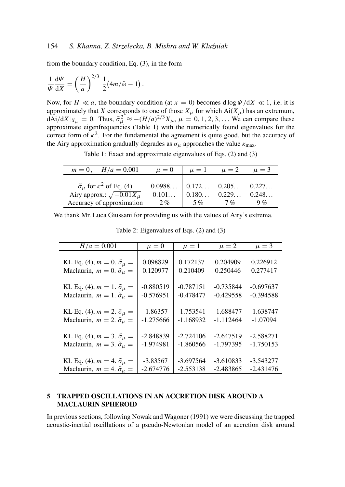from the boundary condition, Eq. (3), in the form

$$
\frac{1}{\Psi}\frac{\mathrm{d}\Psi}{\mathrm{d}X} = \left(\frac{H}{a}\right)^{2/3} \frac{1}{2} (4m/\tilde{\omega} - 1).
$$

Now, for  $H \ll a$ , the boundary condition (at  $x = 0$ ) becomes d log  $\Psi/dX \ll 1$ , i.e. it is approximately that *X* corresponds to one of those  $X_\mu$  for which  $Ai(X_\mu)$  has an extremum,  $dAi/dX|_{X_{\mu}} = 0$ . Thus,  $\tilde{\sigma}_{\mu}^2 \approx -(H/a)^{2/3} X_{\mu}$ ,  $\mu = 0, 1, 2, 3, ...$  We can compare these approximate eigenfrequencies (Table 1) with the numerically found eigenvalues for the correct form of  $\kappa^2$ . For the fundamental the agreement is quite good, but the accuracy of the Airy approximation gradually degrades as  $\sigma_{\mu}$  approaches the value  $\kappa_{\text{max}}$ .

Table 1: Exact and approximate eigenvalues of Eqs. (2) and (3)

| $H/a = 0.001$<br>$m=0$ ,                                                                                              | $\mu = 0$                                             | $\mu = 1$   | $\mu = 2$       | $\mu = 3$   |
|-----------------------------------------------------------------------------------------------------------------------|-------------------------------------------------------|-------------|-----------------|-------------|
| $\tilde{\sigma}_{\mu}$ for $\kappa^2$ of Eq. (4)<br>Airy approx.: $\sqrt{-0.01 X_{\mu}}$<br>Accuracy of approximation | $0.0988$   $0.172$   $0.205$   $0.227$<br>0.101<br>2% | 0.180<br>5% | 10.229<br>$7\%$ | 0.248<br>9% |

We thank Mr. Luca Giussani for providing us with the values of Airy's extrema.

| $H/a = 0.001$                                  | $\mu = 0$   | $\mu = 1$   | $\mu = 2$   | $\mu = 3$   |
|------------------------------------------------|-------------|-------------|-------------|-------------|
| KL Eq. (4), $m = 0$ . $\tilde{\sigma}_{\mu} =$ | 0.098829    | 0.172137    | 0.204909    | 0.226912    |
| Maclaurin, $m = 0$ . $\tilde{\sigma}_{\mu} =$  | 0.120977    | 0.210409    | 0.250446    | 0.277417    |
| KL Eq. (4), $m = 1$ . $\tilde{\sigma}_{\mu} =$ | $-0.880519$ | $-0.787151$ | $-0.735844$ | $-0.697637$ |
| Maclaurin, $m = 1$ . $\tilde{\sigma}_{\mu} =$  | $-0.576951$ | $-0.478477$ | $-0.429558$ | $-0.394588$ |
| KL Eq. (4), $m = 2$ . $\tilde{\sigma}_{\mu} =$ | $-1.86357$  | $-1.753541$ | $-1.688477$ | $-1.638747$ |
| Maclaurin, $m = 2$ . $\tilde{\sigma}_{\mu} =$  | $-1.275666$ | $-1.168932$ | $-1.112464$ | $-1.07094$  |
| KL Eq. (4), $m = 3$ . $\tilde{\sigma}_{\mu} =$ | $-2.848839$ | $-2.724106$ | $-2.647519$ | $-2.588271$ |
| Maclaurin, $m = 3$ . $\tilde{\sigma}_{\mu} =$  | $-1.974981$ | $-1.860566$ | $-1.797395$ | $-1.750153$ |
| KL Eq. (4), $m = 4$ . $\tilde{\sigma}_{\mu} =$ | $-3.83567$  | $-3.697564$ | $-3.610833$ | $-3.543277$ |
| Maclaurin, $m = 4$ . $\tilde{\sigma}_{\mu} =$  | $-2.674776$ | $-2.553138$ | $-2.483865$ | $-2.431476$ |

Table 2: Eigenvalues of Eqs. (2) and (3)

# 5 TRAPPED OSCILLATIONS IN AN ACCRETION DISK AROUND A MACLAURIN SPHEROID

In previous sections, following Nowak and Wagoner (1991) we were discussing the trapped acoustic-inertial oscillations of a pseudo-Newtonian model of an accretion disk around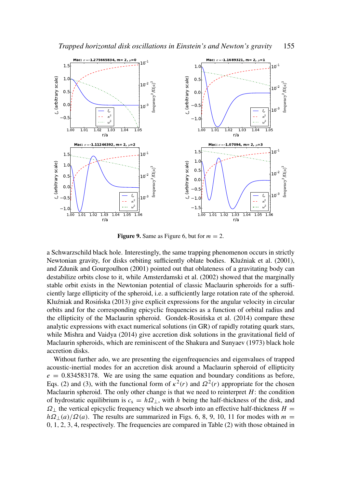



**Figure 9.** Same as Figure 6, but for  $m = 2$ .

a Schwarzschild black hole. Interestingly, the same trapping phenomenon occurs in strictly Newtonian gravity, for disks orbiting sufficiently oblate bodies. Kluźniak et al. (2001), and Zdunik and Gourgoulhon (2001) pointed out that oblateness of a gravitating body can destabilize orbits close to it, while Amsterdamski et al. (2002) showed that the marginally stable orbit exists in the Newtonian potential of classic Maclaurin spheroids for a sufficiently large ellipticity of the spheroid, i.e. a sufficiently large rotation rate of the spheroid. Kluźniak and Rosińska  $(2013)$  give explicit expressions for the angular velocity in circular orbits and for the corresponding epicyclic frequencies as a function of orbital radius and the ellipticity of the Maclaurin spheroid. Gondek-Rosinska et al. (2014) compare these ´ analytic expressions with exact numerical solutions (in GR) of rapidly rotating quark stars, while Mishra and Vaidya (2014) give accretion disk solutions in the gravitational field of Maclaurin spheroids, which are reminiscent of the Shakura and Sunyaev (1973) black hole accretion disks.

Without further ado, we are presenting the eigenfrequencies and eigenvalues of trapped acoustic-inertial modes for an accretion disk around a Maclaurin spheroid of ellipticity  $e = 0.834583178$ . We are using the same equation and boundary conditions as before, Eqs. (2) and (3), with the functional form of  $\kappa^2(r)$  and  $\Omega^2(r)$  appropriate for the chosen Maclaurin spheroid. The only other change is that we need to reinterpret  $H$ : the condition of hydrostatic equilibrium is  $c_s = h\Omega_{\perp}$ , with *h* being the half-thickness of the disk, and  $\Omega_{\perp}$  the vertical epicyclic frequency which we absorb into an effective half-thickness *H* =  $h\Omega_{\perp}(a)/\Omega(a)$ . The results are summarized in Figs. 6, 8, 9, 10, 11 for modes with *m* = 0, 1, 2, 3, 4, respectively. The frequencies are compared in Table (2) with those obtained in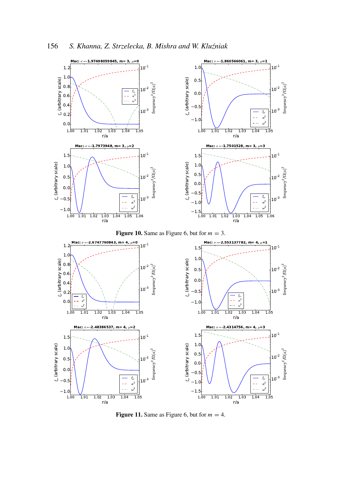

Figure 11. Same as Figure 6, but for  $m = 4$ .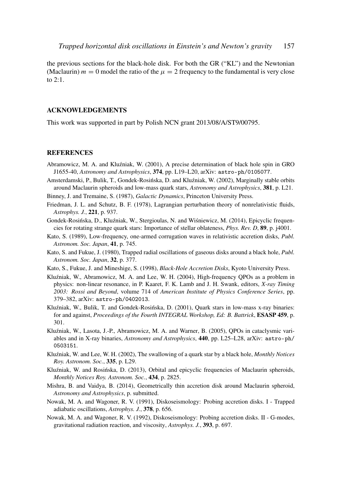the previous sections for the black-hole disk. For both the GR ("KL") and the Newtonian (Maclaurin)  $m = 0$  model the ratio of the  $\mu = 2$  frequency to the fundamental is very close to 2:1.

# ACKNOWLEDGEMENTS

This work was supported in part by Polish NCN grant 2013/08/A/ST9/00795.

#### **REFERENCES**

- Abramowicz, M. A. and Kluźniak, W. (2001), A precise determination of black hole spin in GRO J1655-40, *Astronomy and Astrophysics*, 374, pp. L19–L20, arXiv: astro-ph/0105077.
- Amsterdamski, P., Bulik, T., Gondek-Rosińska, D. and Kluźniak, W. (2002), Marginally stable orbits around Maclaurin spheroids and low-mass quark stars, *Astronomy and Astrophysics*, 381, p. L21.
- Binney, J. and Tremaine, S. (1987), *Galactic Dynamics*, Princeton University Press.
- Friedman, J. L. and Schutz, B. F. (1978), Lagrangian perturbation theory of nonrelativistic fluids, *Astrophys. J.*, 221, p. 937.
- Gondek-Rosińska, D., Kluźniak, W., Stergioulas, N. and Wiśniewicz, M. (2014), Epicyclic frequencies for rotating strange quark stars: Importance of stellar oblateness, *Phys. Rev. D*, 89, p. j4001.
- Kato, S. (1989), Low-frequency, one-armed corrugation waves in relativistic accretion disks, *Publ. Astronom. Soc. Japan*, 41, p. 745.
- Kato, S. and Fukue, J. (1980), Trapped radial oscillations of gaseous disks around a black hole, *Publ. Astronom. Soc. Japan*, 32, p. 377.
- Kato, S., Fukue, J. and Mineshige, S. (1998), *Black-Hole Accretion Disks*, Kyoto University Press.
- Kluźniak, W., Abramowicz, M. A. and Lee, W. H. (2004), High-frequency QPOs as a problem in physics: non-linear resonance, in P. Kaaret, F. K. Lamb and J. H. Swank, editors, *X-ray Timing 2003: Rossi and Beyond*, volume 714 of *American Institute of Physics Conference Series*, pp. 379–382, arXiv: astro-ph/0402013.
- Kluźniak, W., Bulik, T. and Gondek-Rosińska, D. (2001), Quark stars in low-mass x-ray binaries: for and against, *Proceedings of the Fourth INTEGRAL Workshop, Ed: B. Battrick*, ESASP 459, p. 301.
- Kluźniak, W., Lasota, J.-P., Abramowicz, M. A. and Warner, B. (2005), QPOs in cataclysmic variables and in X-ray binaries, *Astronomy and Astrophysics*, 440, pp. L25–L28, arXiv: astro-ph/ 0503151.
- Klu´zniak, W. and Lee, W. H. (2002), The swallowing of a quark star by a black hole, *Monthly Notices Roy. Astronom. Soc.*, 335, p. L29.
- Kluźniak, W. and Rosińska, D. (2013), Orbital and epicyclic frequencies of Maclaurin spheroids, *Monthly Notices Roy. Astronom. Soc.*, 434, p. 2825.
- Mishra, B. and Vaidya, B. (2014), Geometrically thin accretion disk around Maclaurin spheroid, *Astronomy and Astrophysics*, p. submitted.
- Nowak, M. A. and Wagoner, R. V. (1991), Diskoseismology: Probing accretion disks. I Trapped adiabatic oscillations, *Astrophys. J.*, 378, p. 656.
- Nowak, M. A. and Wagoner, R. V. (1992), Diskoseismology: Probing accretion disks. II G-modes, gravitational radiation reaction, and viscosity, *Astrophys. J.*, 393, p. 697.